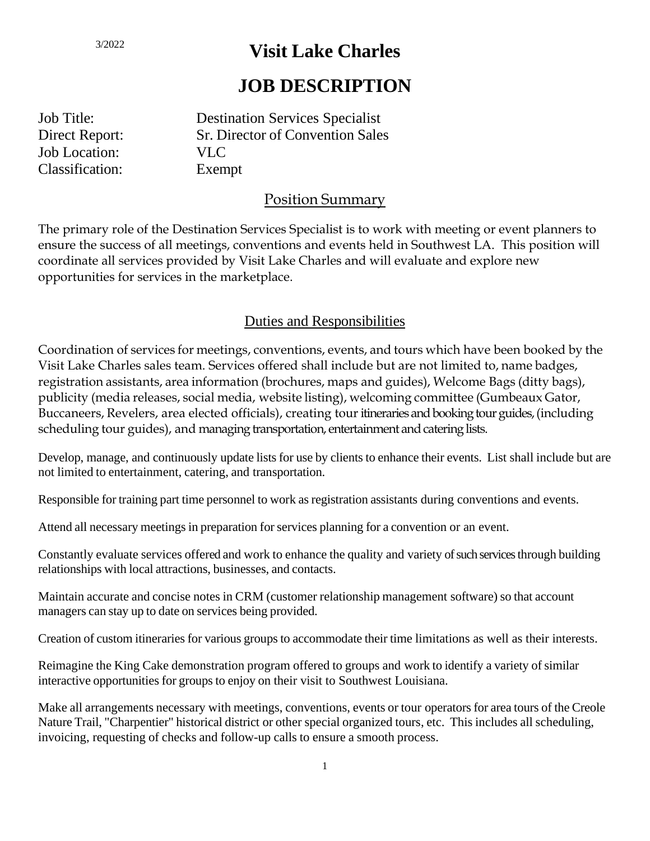# **Visit Lake Charles**

## **JOB DESCRIPTION**

Job Title: Destination Services Specialist Direct Report: Sr. Director of Convention Sales Job Location: VLC Classification: Exempt

## Position Summary

The primary role of the Destination Services Specialist is to work with meeting or event planners to ensure the success of all meetings, conventions and events held in Southwest LA. This position will coordinate all services provided by Visit Lake Charles and will evaluate and explore new opportunities for services in the marketplace.

### Duties and Responsibilities

Coordination of services for meetings, conventions, events, and tours which have been booked by the Visit Lake Charles sales team. Services offered shall include but are not limited to, name badges, registration assistants, area information (brochures, maps and guides), Welcome Bags (ditty bags), publicity (media releases, social media, website listing), welcoming committee (Gumbeaux Gator, Buccaneers, Revelers, area elected officials), creating tour itineraries and booking tour guides, (including scheduling tour guides), and managing transportation, entertainment and catering lists.

Develop, manage, and continuously update lists for use by clients to enhance their events. List shall include but are not limited to entertainment, catering, and transportation.

Responsible for training part time personnel to work asregistration assistants during conventions and events.

Attend all necessary meetings in preparation for services planning for a convention or an event.

Constantly evaluate services offered and work to enhance the quality and variety of such services through building relationships with local attractions, businesses, and contacts.

Maintain accurate and concise notes in CRM (customer relationship management software) so that account managers can stay up to date on services being provided.

Creation of custom itineraries for various groups to accommodate their time limitations as well as their interests.

Reimagine the King Cake demonstration program offered to groups and work to identify a variety of similar interactive opportunities for groups to enjoy on their visit to Southwest Louisiana.

Make all arrangements necessary with meetings, conventions, events or tour operatorsfor area tours of the Creole Nature Trail, "Charpentier" historical district or other special organized tours, etc. This includes all scheduling, invoicing, requesting of checks and follow-up calls to ensure a smooth process.